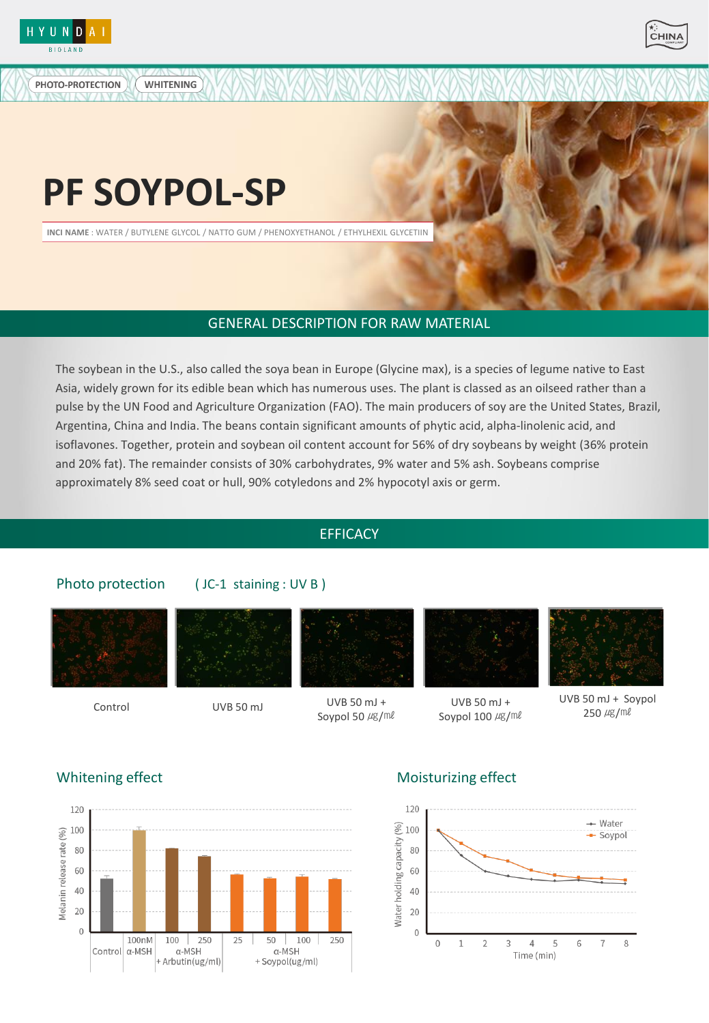

PHOTO-PROTECTION



# **PF SOYPOL-SP**

WHITENING

**INCI NAME** : WATER / BUTYLENE GLYCOL / NATTO GUM / PHENOXYETHANOL / ETHYLHEXIL GLYCETIIN

# GENERAL DESCRIPTION FOR RAW MATERIAL

The soybean in the U.S., also called the soya bean in Europe (Glycine max), is a species of legume native to East Asia, widely grown for its edible bean which has numerous uses. The plant is classed as an oilseed rather than a pulse by the UN Food and Agriculture Organization (FAO). The main producers of soy are the United States, Brazil, Argentina, China and India. The beans contain significant amounts of phytic acid, alpha-linolenic acid, and isoflavones. Together, protein and soybean oil content account for 56% of dry soybeans by weight (36% protein and 20% fat). The remainder consists of 30% carbohydrates, 9% water and 5% ash. Soybeans comprise approximately 8% seed coat or hull, 90% cotyledons and 2% hypocotyl axis or germ.

# **EFFICACY**

# Photo protection





( JC-1 staining : UV B )



#### $Corctrol$  UVB 50 mJ  $UVB$  50 mJ  $UVB$  50 mJ + Soypol 50 µg/ml



UVB 50 mJ + Soypol  $100 \ \mu g/\text{m}l$ 



UVB 50 mJ + Soypol 250 ㎍/㎖



# Whitening effect Moisturizing effect